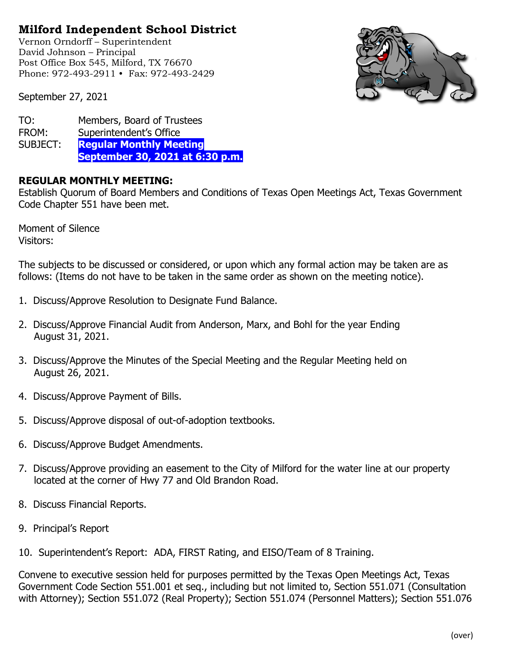## **Milford Independent School District**

Vernon Orndorff – Superintendent David Johnson – Principal Post Office Box 545, Milford, TX 76670 Phone: 972-493-2911 • Fax: 972-493-2429



September 27, 2021

| TO:      | Members, Board of Trustees      |
|----------|---------------------------------|
| FROM:    | Superintendent's Office         |
| SUBJECT: | <b>Regular Monthly Meeting</b>  |
|          | September 30, 2021 at 6:30 p.m. |

## **REGULAR MONTHLY MEETING:**

Establish Quorum of Board Members and Conditions of Texas Open Meetings Act, Texas Government Code Chapter 551 have been met.

Moment of Silence Visitors:

The subjects to be discussed or considered, or upon which any formal action may be taken are as follows: (Items do not have to be taken in the same order as shown on the meeting notice).

- 1. Discuss/Approve Resolution to Designate Fund Balance.
- 2. Discuss/Approve Financial Audit from Anderson, Marx, and Bohl for the year Ending August 31, 2021.
- 3. Discuss/Approve the Minutes of the Special Meeting and the Regular Meeting held on August 26, 2021.
- 4. Discuss/Approve Payment of Bills.
- 5. Discuss/Approve disposal of out-of-adoption textbooks.
- 6. Discuss/Approve Budget Amendments.
- 7. Discuss/Approve providing an easement to the City of Milford for the water line at our property located at the corner of Hwy 77 and Old Brandon Road.
- 8. Discuss Financial Reports.
- 9. Principal's Report
- 10. Superintendent's Report: ADA, FIRST Rating, and EISO/Team of 8 Training.

Convene to executive session held for purposes permitted by the Texas Open Meetings Act, Texas Government Code Section 551.001 et seq., including but not limited to, Section 551.071 (Consultation with Attorney); Section 551.072 (Real Property); Section 551.074 (Personnel Matters); Section 551.076